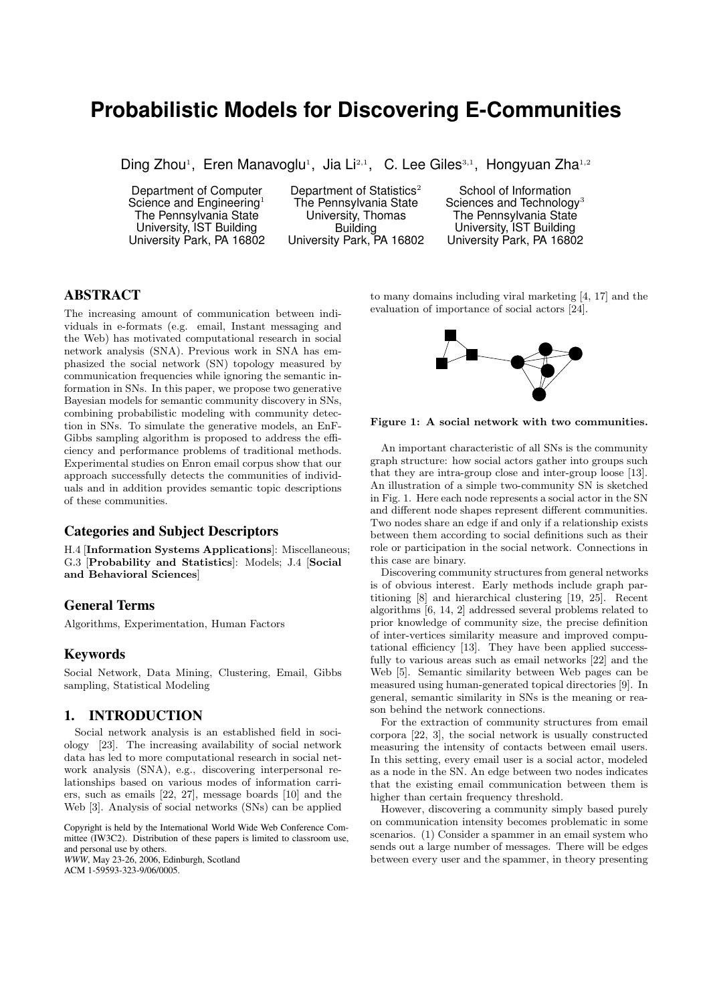# **Probabilistic Models for Discovering E-Communities**

Ding Zhou<sup>1</sup>, Eren Manavoglu<sup>1</sup>, Jia Li<sup>2,1</sup>, C. Lee Giles<sup>3,1</sup>, Hongyuan Zha<sup>1,2</sup>

Department of Computer Science and Engineering<sup>1</sup> The Pennsylvania State University, IST Building University Park, PA 16802

Department of Statistics<sup>2</sup> The Pennsylvania State University, Thomas Building University Park, PA 16802

School of Information Sciences and Technology<sup>3</sup> The Pennsylvania State University, IST Building University Park, PA 16802

# **ABSTRACT**

The increasing amount of communication between individuals in e-formats (e.g. email, Instant messaging and the Web) has motivated computational research in social network analysis (SNA). Previous work in SNA has emphasized the social network (SN) topology measured by communication frequencies while ignoring the semantic information in SNs. In this paper, we propose two generative Bayesian models for semantic community discovery in SNs, combining probabilistic modeling with community detection in SNs. To simulate the generative models, an EnF-Gibbs sampling algorithm is proposed to address the efficiency and performance problems of traditional methods. Experimental studies on Enron email corpus show that our approach successfully detects the communities of individuals and in addition provides semantic topic descriptions of these communities.

#### **Categories and Subject Descriptors**

H.4 [Information Systems Applications]: Miscellaneous; G.3 [Probability and Statistics]: Models; J.4 [Social and Behavioral Sciences]

# **General Terms**

Algorithms, Experimentation, Human Factors

#### **Keywords**

Social Network, Data Mining, Clustering, Email, Gibbs sampling, Statistical Modeling

## **1. INTRODUCTION**

Social network analysis is an established field in sociology [23]. The increasing availability of social network data has led to more computational research in social network analysis (SNA), e.g., discovering interpersonal relationships based on various modes of information carriers, such as emails [22, 27], message boards [10] and the Web [3]. Analysis of social networks (SNs) can be applied

Copyright is held by the International World Wide Web Conference Committee (IW3C2). Distribution of these papers is limited to classroom use, and personal use by others.

*WWW*, May 23-26, 2006, Edinburgh, Scotland ACM 1-59593-323-9/06/0005.

to many domains including viral marketing [4, 17] and the evaluation of importance of social actors [24].



Figure 1: A social network with two communities.

An important characteristic of all SNs is the community graph structure: how social actors gather into groups such that they are intra-group close and inter-group loose [13]. An illustration of a simple two-community SN is sketched in Fig. 1. Here each node represents a social actor in the SN and different node shapes represent different communities. Two nodes share an edge if and only if a relationship exists between them according to social definitions such as their role or participation in the social network. Connections in this case are binary.

Discovering community structures from general networks is of obvious interest. Early methods include graph partitioning [8] and hierarchical clustering [19, 25]. Recent algorithms [6, 14, 2] addressed several problems related to prior knowledge of community size, the precise definition of inter-vertices similarity measure and improved computational efficiency [13]. They have been applied successfully to various areas such as email networks [22] and the Web [5]. Semantic similarity between Web pages can be measured using human-generated topical directories [9]. In general, semantic similarity in SNs is the meaning or reason behind the network connections.

For the extraction of community structures from email corpora [22, 3], the social network is usually constructed measuring the intensity of contacts between email users. In this setting, every email user is a social actor, modeled as a node in the SN. An edge between two nodes indicates that the existing email communication between them is higher than certain frequency threshold.

However, discovering a community simply based purely on communication intensity becomes problematic in some scenarios. (1) Consider a spammer in an email system who sends out a large number of messages. There will be edges between every user and the spammer, in theory presenting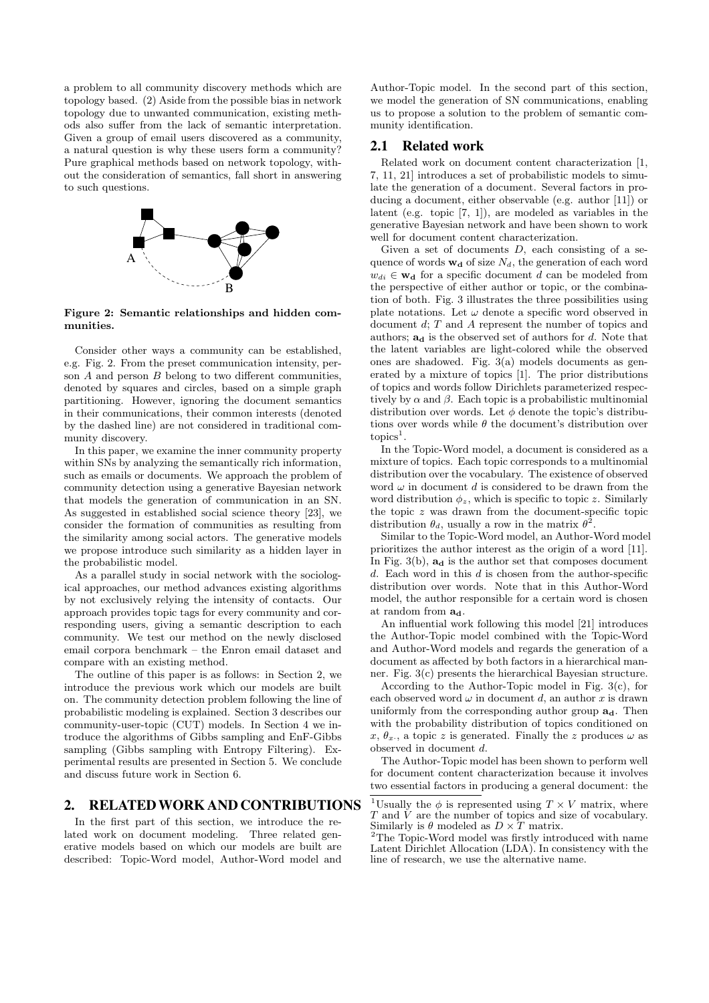a problem to all community discovery methods which are topology based. (2) Aside from the possible bias in network topology due to unwanted communication, existing methods also suffer from the lack of semantic interpretation. Given a group of email users discovered as a community, a natural question is why these users form a community? Pure graphical methods based on network topology, without the consideration of semantics, fall short in answering to such questions.



Figure 2: Semantic relationships and hidden communities.

Consider other ways a community can be established, e.g. Fig. 2. From the preset communication intensity, person  $A$  and person  $B$  belong to two different communities, denoted by squares and circles, based on a simple graph partitioning. However, ignoring the document semantics in their communications, their common interests (denoted by the dashed line) are not considered in traditional community discovery.

In this paper, we examine the inner community property within SNs by analyzing the semantically rich information, such as emails or documents. We approach the problem of community detection using a generative Bayesian network that models the generation of communication in an SN. As suggested in established social science theory [23], we consider the formation of communities as resulting from the similarity among social actors. The generative models we propose introduce such similarity as a hidden layer in the probabilistic model.

As a parallel study in social network with the sociological approaches, our method advances existing algorithms by not exclusively relying the intensity of contacts. Our approach provides topic tags for every community and corresponding users, giving a semantic description to each community. We test our method on the newly disclosed email corpora benchmark – the Enron email dataset and compare with an existing method.

The outline of this paper is as follows: in Section 2, we introduce the previous work which our models are built on. The community detection problem following the line of probabilistic modeling is explained. Section 3 describes our community-user-topic (CUT) models. In Section 4 we introduce the algorithms of Gibbs sampling and EnF-Gibbs sampling (Gibbs sampling with Entropy Filtering). Experimental results are presented in Section 5. We conclude and discuss future work in Section 6.

## **2. RELATEDWORKAND CONTRIBUTIONS**

In the first part of this section, we introduce the related work on document modeling. Three related generative models based on which our models are built are described: Topic-Word model, Author-Word model and

Author-Topic model. In the second part of this section, we model the generation of SN communications, enabling us to propose a solution to the problem of semantic community identification.

## **2.1 Related work**

Related work on document content characterization [1, 7, 11, 21] introduces a set of probabilistic models to simulate the generation of a document. Several factors in producing a document, either observable (e.g. author [11]) or latent (e.g. topic [7, 1]), are modeled as variables in the generative Bayesian network and have been shown to work well for document content characterization.

Given a set of documents  $D$ , each consisting of a sequence of words  $\mathbf{w}_d$  of size  $N_d$ , the generation of each word  $w_{di} \in \mathbf{w}_d$  for a specific document d can be modeled from the perspective of either author or topic, or the combination of both. Fig. 3 illustrates the three possibilities using plate notations. Let  $\omega$  denote a specific word observed in document d; T and A represent the number of topics and authors;  $a_d$  is the observed set of authors for d. Note that the latent variables are light-colored while the observed ones are shadowed. Fig.  $3(a)$  models documents as generated by a mixture of topics [1]. The prior distributions of topics and words follow Dirichlets parameterized respectively by  $\alpha$  and  $\beta$ . Each topic is a probabilistic multinomial distribution over words. Let  $\phi$  denote the topic's distributions over words while  $\theta$  the document's distribution over  $topics<sup>1</sup>$ .

In the Topic-Word model, a document is considered as a mixture of topics. Each topic corresponds to a multinomial distribution over the vocabulary. The existence of observed word  $\omega$  in document d is considered to be drawn from the word distribution  $\phi_z$ , which is specific to topic z. Similarly the topic z was drawn from the document-specific topic distribution  $\theta_d$ , usually a row in the matrix  $\theta^{\dot{2}}$ .

Similar to the Topic-Word model, an Author-Word model prioritizes the author interest as the origin of a word [11]. In Fig.  $3(b)$ ,  $a_d$  is the author set that composes document  $d$ . Each word in this  $d$  is chosen from the author-specific distribution over words. Note that in this Author-Word model, the author responsible for a certain word is chosen at random from  $a_d$ .

An influential work following this model [21] introduces the Author-Topic model combined with the Topic-Word and Author-Word models and regards the generation of a document as affected by both factors in a hierarchical manner. Fig. 3(c) presents the hierarchical Bayesian structure.

According to the Author-Topic model in Fig.  $3(c)$ , for each observed word  $\omega$  in document d, an author x is drawn uniformly from the corresponding author group  $a_d$ . Then with the probability distribution of topics conditioned on  $x, \theta_x$ , a topic z is generated. Finally the z produces  $\omega$  as observed in document d.

The Author-Topic model has been shown to perform well for document content characterization because it involves two essential factors in producing a general document: the

<sup>&</sup>lt;sup>1</sup>Usually the  $\phi$  is represented using  $T \times V$  matrix, where T and V are the number of topics and size of vocabulary. Similarly is  $\theta$  modeled as  $D \times T$  matrix.

<sup>&</sup>lt;sup>2</sup>The Topic-Word model was firstly introduced with name Latent Dirichlet Allocation (LDA). In consistency with the line of research, we use the alternative name.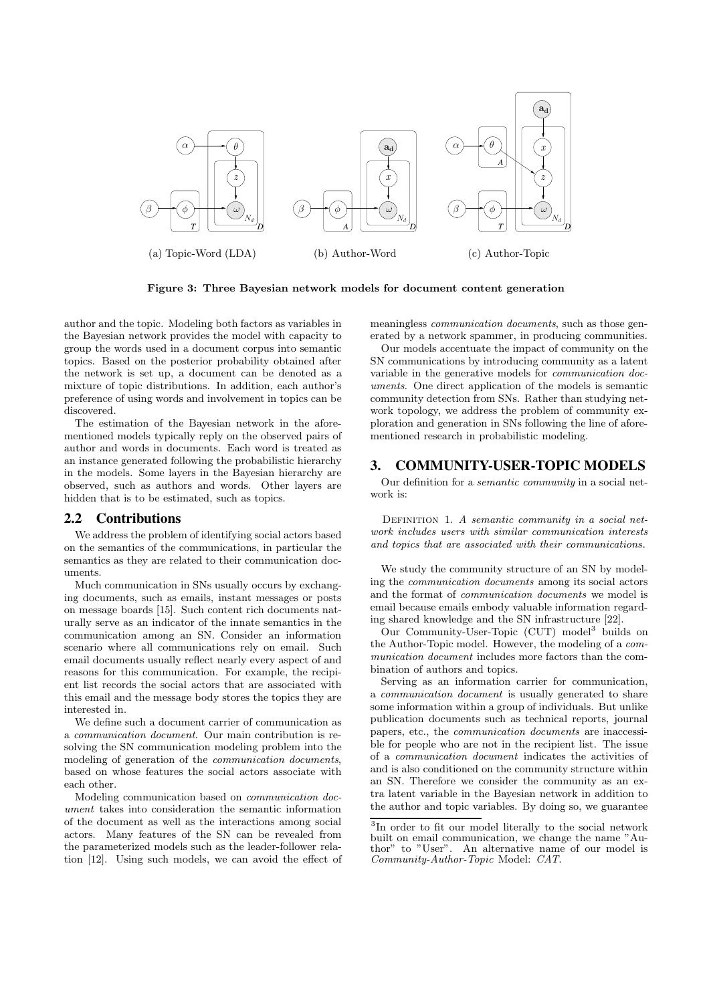

Figure 3: Three Bayesian network models for document content generation

author and the topic. Modeling both factors as variables in the Bayesian network provides the model with capacity to group the words used in a document corpus into semantic topics. Based on the posterior probability obtained after the network is set up, a document can be denoted as a mixture of topic distributions. In addition, each author's preference of using words and involvement in topics can be discovered.

The estimation of the Bayesian network in the aforementioned models typically reply on the observed pairs of author and words in documents. Each word is treated as an instance generated following the probabilistic hierarchy in the models. Some layers in the Bayesian hierarchy are observed, such as authors and words. Other layers are hidden that is to be estimated, such as topics.

## **2.2 Contributions**

We address the problem of identifying social actors based on the semantics of the communications, in particular the semantics as they are related to their communication documents.

Much communication in SNs usually occurs by exchanging documents, such as emails, instant messages or posts on message boards [15]. Such content rich documents naturally serve as an indicator of the innate semantics in the communication among an SN. Consider an information scenario where all communications rely on email. Such email documents usually reflect nearly every aspect of and reasons for this communication. For example, the recipient list records the social actors that are associated with this email and the message body stores the topics they are interested in.

We define such a document carrier of communication as a communication document. Our main contribution is resolving the SN communication modeling problem into the modeling of generation of the communication documents, based on whose features the social actors associate with each other.

Modeling communication based on communication document takes into consideration the semantic information of the document as well as the interactions among social actors. Many features of the SN can be revealed from the parameterized models such as the leader-follower relation [12]. Using such models, we can avoid the effect of meaningless communication documents, such as those generated by a network spammer, in producing communities.

Our models accentuate the impact of community on the SN communications by introducing community as a latent variable in the generative models for communication documents. One direct application of the models is semantic community detection from SNs. Rather than studying network topology, we address the problem of community exploration and generation in SNs following the line of aforementioned research in probabilistic modeling.

# **3. COMMUNITY-USER-TOPIC MODELS**

Our definition for a semantic community in a social network is:

DEFINITION 1. A semantic community in a social network includes users with similar communication interests and topics that are associated with their communications.

We study the community structure of an SN by modeling the communication documents among its social actors and the format of communication documents we model is email because emails embody valuable information regarding shared knowledge and the SN infrastructure [22].

Our Community-User-Topic (CUT) model<sup>3</sup> builds on the Author-Topic model. However, the modeling of a communication document includes more factors than the combination of authors and topics.

Serving as an information carrier for communication, a communication document is usually generated to share some information within a group of individuals. But unlike publication documents such as technical reports, journal papers, etc., the communication documents are inaccessible for people who are not in the recipient list. The issue of a communication document indicates the activities of and is also conditioned on the community structure within an SN. Therefore we consider the community as an extra latent variable in the Bayesian network in addition to the author and topic variables. By doing so, we guarantee

<sup>&</sup>lt;sup>3</sup>In order to fit our model literally to the social network built on email communication, we change the name "Au-<br>thor" to "User". An alternative name of our model is to "User". An alternative name of our model is Community-Author-Topic Model: CAT.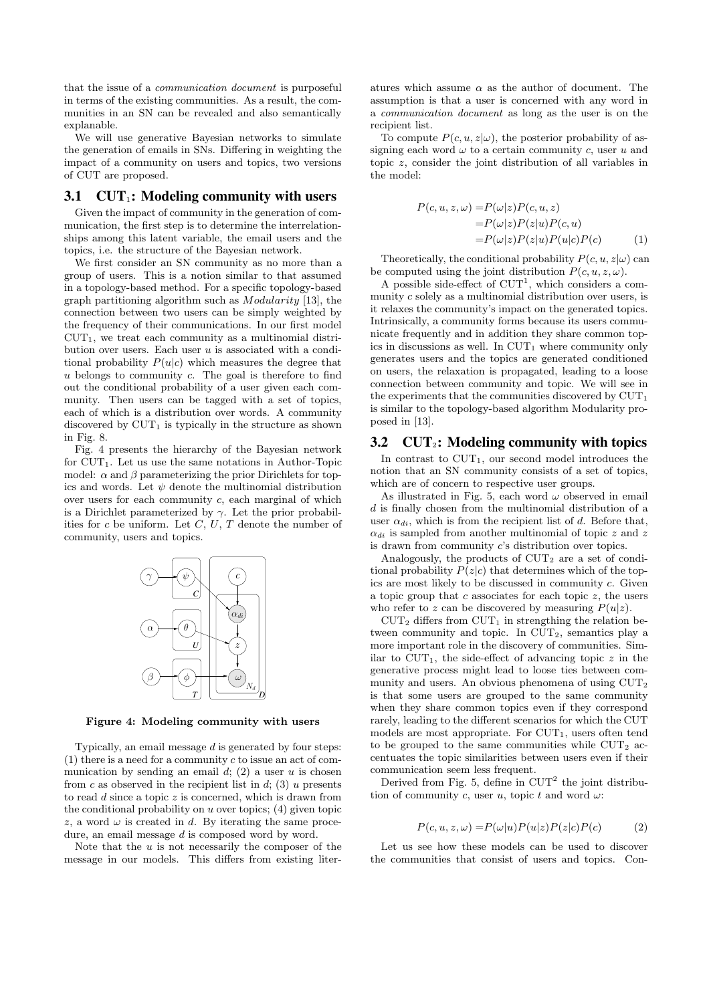that the issue of a communication document is purposeful in terms of the existing communities. As a result, the communities in an SN can be revealed and also semantically explanable.

We will use generative Bayesian networks to simulate the generation of emails in SNs. Differing in weighting the impact of a community on users and topics, two versions of CUT are proposed.

#### **3.1 CUT**1**: Modeling community with users**

Given the impact of community in the generation of communication, the first step is to determine the interrelationships among this latent variable, the email users and the topics, i.e. the structure of the Bayesian network.

We first consider an SN community as no more than a group of users. This is a notion similar to that assumed in a topology-based method. For a specific topology-based graph partitioning algorithm such as Modularity [13], the connection between two users can be simply weighted by the frequency of their communications. In our first model  $CUT_1$ , we treat each community as a multinomial distribution over users. Each user  $u$  is associated with a conditional probability  $P(u|c)$  which measures the degree that  $u$  belongs to community  $c$ . The goal is therefore to find out the conditional probability of a user given each community. Then users can be tagged with a set of topics, each of which is a distribution over words. A community discovered by  $\text{CUT}_1$  is typically in the structure as shown in Fig. 8.

Fig. 4 presents the hierarchy of the Bayesian network for  $CUT_1$ . Let us use the same notations in Author-Topic model:  $\alpha$  and  $\beta$  parameterizing the prior Dirichlets for topics and words. Let  $\psi$  denote the multinomial distribution over users for each community c, each marginal of which is a Dirichlet parameterized by  $\gamma$ . Let the prior probabilities for c be uniform. Let  $C, U, T$  denote the number of community, users and topics.



Figure 4: Modeling community with users

Typically, an email message  $d$  is generated by four steps:  $(1)$  there is a need for a community c to issue an act of communication by sending an email  $d$ ; (2) a user  $u$  is chosen from c as observed in the recipient list in  $d$ ; (3) u presents to read  $d$  since a topic  $z$  is concerned, which is drawn from the conditional probability on  $u$  over topics; (4) given topic z, a word  $\omega$  is created in d. By iterating the same procedure, an email message d is composed word by word.

Note that the  $u$  is not necessarily the composer of the message in our models. This differs from existing liter-

atures which assume  $\alpha$  as the author of document. The assumption is that a user is concerned with any word in a communication document as long as the user is on the recipient list.

To compute  $P(c, u, z | \omega)$ , the posterior probability of assigning each word  $\omega$  to a certain community c, user u and topic z, consider the joint distribution of all variables in the model:

$$
P(c, u, z, \omega) = P(\omega|z)P(c, u, z)
$$
  
=  $P(\omega|z)P(z|u)P(c, u)$   
=  $P(\omega|z)P(z|u)P(u|c)P(c)$  (1)

Theoretically, the conditional probability  $P(c, u, z|\omega)$  can be computed using the joint distribution  $P(c, u, z, \omega)$ .

A possible side-effect of  $CUT<sup>1</sup>$ , which considers a community c solely as a multinomial distribution over users, is it relaxes the community's impact on the generated topics. Intrinsically, a community forms because its users communicate frequently and in addition they share common topics in discussions as well. In  $CUT_1$  where community only generates users and the topics are generated conditioned on users, the relaxation is propagated, leading to a loose connection between community and topic. We will see in the experiments that the communities discovered by  $\mathrm{CUT}_1$ is similar to the topology-based algorithm Modularity proposed in [13].

## **3.2 CUT**2**: Modeling community with topics**

In contrast to  $CUT_1$ , our second model introduces the notion that an SN community consists of a set of topics, which are of concern to respective user groups.

As illustrated in Fig. 5, each word  $\omega$  observed in email  $d$  is finally chosen from the multinomial distribution of a user  $\alpha_{di}$ , which is from the recipient list of d. Before that,  $\alpha_{di}$  is sampled from another multinomial of topic z and z is drawn from community c's distribution over topics.

Analogously, the products of  $CUT_2$  are a set of conditional probability  $P(z|c)$  that determines which of the topics are most likely to be discussed in community c. Given a topic group that c associates for each topic  $z$ , the users who refer to z can be discovered by measuring  $P(u|z)$ .

 $\text{CUT}_2$  differs from  $\text{CUT}_1$  in strengthing the relation between community and topic. In CUT<sub>2</sub>, semantics play a more important role in the discovery of communities. Similar to  $CUT_1$ , the side-effect of advancing topic z in the generative process might lead to loose ties between community and users. An obvious phenomena of using CUT<sup>2</sup> is that some users are grouped to the same community when they share common topics even if they correspond rarely, leading to the different scenarios for which the CUT models are most appropriate. For  $CUT_1$ , users often tend to be grouped to the same communities while  $CUT_2$  accentuates the topic similarities between users even if their communication seem less frequent.

Derived from Fig. 5, define in  $CUT^2$  the joint distribution of community c, user u, topic t and word  $\omega$ :

$$
P(c, u, z, \omega) = P(\omega|u)P(u|z)P(z|c)P(c)
$$
 (2)

Let us see how these models can be used to discover the communities that consist of users and topics. Con-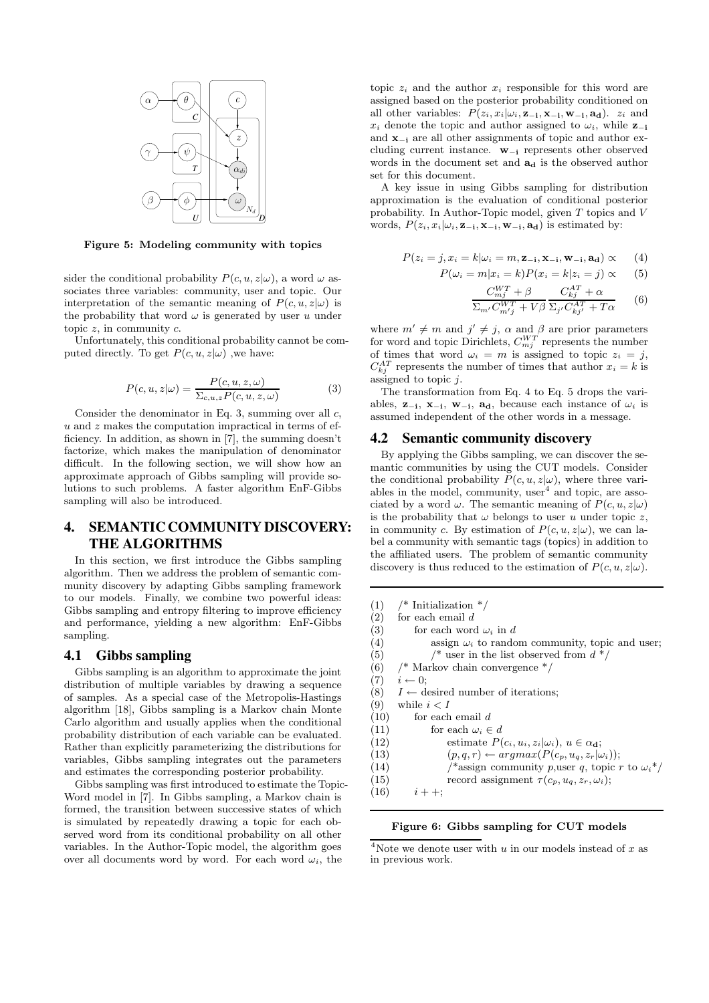

Figure 5: Modeling community with topics

sider the conditional probability  $P(c, u, z | \omega)$ , a word  $\omega$  associates three variables: community, user and topic. Our interpretation of the semantic meaning of  $P(c, u, z | \omega)$  is the probability that word  $\omega$  is generated by user u under topic  $z$ , in community  $c$ .

Unfortunately, this conditional probability cannot be computed directly. To get  $P(c, u, z | \omega)$ , we have:

$$
P(c, u, z | \omega) = \frac{P(c, u, z, \omega)}{\sum_{c, u, z} P(c, u, z, \omega)}
$$
(3)

Consider the denominator in Eq. 3, summing over all  $c$ ,  $u$  and  $z$  makes the computation impractical in terms of efficiency. In addition, as shown in [7], the summing doesn't factorize, which makes the manipulation of denominator difficult. In the following section, we will show how an approximate approach of Gibbs sampling will provide solutions to such problems. A faster algorithm EnF-Gibbs sampling will also be introduced.

# **4. SEMANTIC COMMUNITY DISCOVERY: THE ALGORITHMS**

In this section, we first introduce the Gibbs sampling algorithm. Then we address the problem of semantic community discovery by adapting Gibbs sampling framework to our models. Finally, we combine two powerful ideas: Gibbs sampling and entropy filtering to improve efficiency and performance, yielding a new algorithm: EnF-Gibbs sampling.

#### **4.1 Gibbs sampling**

Gibbs sampling is an algorithm to approximate the joint distribution of multiple variables by drawing a sequence of samples. As a special case of the Metropolis-Hastings algorithm [18], Gibbs sampling is a Markov chain Monte Carlo algorithm and usually applies when the conditional probability distribution of each variable can be evaluated. Rather than explicitly parameterizing the distributions for variables, Gibbs sampling integrates out the parameters and estimates the corresponding posterior probability.

Gibbs sampling was first introduced to estimate the Topic-Word model in [7]. In Gibbs sampling, a Markov chain is formed, the transition between successive states of which is simulated by repeatedly drawing a topic for each observed word from its conditional probability on all other variables. In the Author-Topic model, the algorithm goes over all documents word by word. For each word  $\omega_i$ , the

topic  $z_i$  and the author  $x_i$  responsible for this word are assigned based on the posterior probability conditioned on all other variables:  $P(z_i, x_i|\omega_i, \mathbf{z}_{-i}, \mathbf{x}_{-i}, \mathbf{w}_{-i}, \mathbf{a_d})$ .  $z_i$  and  $x_i$  denote the topic and author assigned to  $\omega_i$ , while  $z_{-i}$ and x<sup>−</sup><sup>i</sup> are all other assignments of topic and author excluding current instance. w<sup>−</sup><sup>i</sup> represents other observed words in the document set and  $a_d$  is the observed author set for this document.

A key issue in using Gibbs sampling for distribution approximation is the evaluation of conditional posterior probability. In Author-Topic model, given T topics and V words,  $P(z_i, x_i|\omega_i, \mathbf{z}_{-i}, \mathbf{x}_{-i}, \mathbf{w}_{-i}, \mathbf{a_d})$  is estimated by:

$$
P(z_i = j, x_i = k | \omega_i = m, \mathbf{z}_{-i}, \mathbf{x}_{-i}, \mathbf{w}_{-i}, \mathbf{a}_d) \propto (4)
$$

$$
P(\omega_i = m | x_i = k) P(x_i = k | z_i = j) \propto (5)
$$

$$
\frac{C_{mj}^{WT} + \beta}{\Sigma_{m'} C_{mj'}^{WT} + V\beta} \frac{C_{kj}^{AT} + \alpha}{\Sigma_{j'} C_{kj'}^{AT} + T\alpha}
$$
 (6)

where  $m' \neq m$  and  $j' \neq j$ ,  $\alpha$  and  $\beta$  are prior parameters for word and topic Dirichlets,  $C_{mj}^{WT}$  represents the number of times that word  $\omega_i = m$  is assigned to topic  $z_i = j$ ,  $C_{kj}^{AT}$  represents the number of times that author  $x_i = k$  is assigned to topic j.

The transformation from Eq. 4 to Eq. 5 drops the variables,  $z_{-i}$ ,  $x_{-i}$ ,  $w_{-i}$ ,  $a_d$ , because each instance of  $\omega_i$  is assumed independent of the other words in a message.

#### **4.2 Semantic community discovery**

By applying the Gibbs sampling, we can discover the semantic communities by using the CUT models. Consider the conditional probability  $P(c, u, z | \omega)$ , where three variables in the model, community,  $user<sup>4</sup>$  and topic, are associated by a word  $\omega$ . The semantic meaning of  $P(c, u, z|\omega)$ is the probability that  $\omega$  belongs to user u under topic z, in community c. By estimation of  $P(c, u, z|\omega)$ , we can label a community with semantic tags (topics) in addition to the affiliated users. The problem of semantic community discovery is thus reduced to the estimation of  $P(c, u, z|\omega)$ .

```
(1) /* Initialization */
(2) for each email d
(3) for each word \omega_i in d
(4) assign \omega_i to random community, topic and user;
(5) \frac{1}{2} /* user in the list observed from d \sqrt[*]{ }(6) /* Markov chain convergence */
(7) i \leftarrow 0;(8) I \leftarrow desired number of iterations;
(9) while i < I(10) for each email d
(11) for each \omega_i \in d(12) estimate P(c_i, u_i, z_i | \omega_i), u \in \alpha_{\mathbf{d}};(13) (p, q, r) \leftarrow argmax(P(c_p, u_q, z_r|\omega_i));
```
- (14)  $\qquad$  /\*assign community p, user q, topic r to  $\omega_i^*$ /
- (15) record assignment  $\tau(c_p, u_q, z_r, \omega_i);$

 $(16)$   $i + +$ ;

#### Figure 6: Gibbs sampling for CUT models

 $\sqrt[4]{4}$ Note we denote user with u in our models instead of x as in previous work.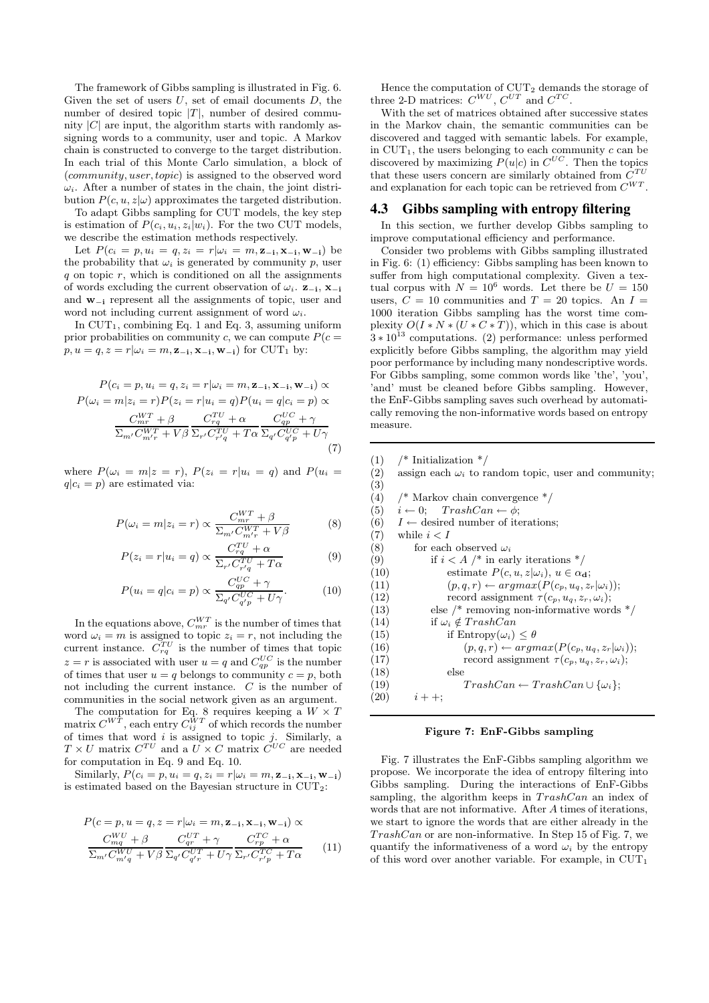The framework of Gibbs sampling is illustrated in Fig. 6. Given the set of users  $U$ , set of email documents  $D$ , the number of desired topic  $|T|$ , number of desired community  $|C|$  are input, the algorithm starts with randomly assigning words to a community, user and topic. A Markov chain is constructed to converge to the target distribution. In each trial of this Monte Carlo simulation, a block of (community, user,topic) is assigned to the observed word  $\omega_i$ . After a number of states in the chain, the joint distribution  $P(c, u, z|\omega)$  approximates the targeted distribution.

To adapt Gibbs sampling for CUT models, the key step is estimation of  $P(c_i, u_i, z_i|w_i)$ . For the two CUT models, we describe the estimation methods respectively.

Let  $P(c_i = p, u_i = q, z_i = r | \omega_i = m, \mathbf{z}_{-i}, \mathbf{x}_{-i}, \mathbf{w}_{-i})$  be the probability that  $\omega_i$  is generated by community p, user  $q$  on topic  $r$ , which is conditioned on all the assignments of words excluding the current observation of  $\omega_i$ . **z**<sub>−i</sub>, **x**<sub>−i</sub> and w<sup>−</sup><sup>i</sup> represent all the assignments of topic, user and word not including current assignment of word  $\omega_i$ .

In  $CUT_1$ , combining Eq. 1 and Eq. 3, assuming uniform prior probabilities on community c, we can compute  $P(c =$  $p, u = q, z = r | \omega_i = m, \mathbf{z}_{-i}, \mathbf{x}_{-i}, \mathbf{w}_{-i} |$  for CUT<sub>1</sub> by:

$$
P(c_i = p, u_i = q, z_i = r | \omega_i = m, \mathbf{z}_{-i}, \mathbf{x}_{-i}, \mathbf{w}_{-i}) \propto
$$
  
\n
$$
P(\omega_i = m | z_i = r) P(z_i = r | u_i = q) P(u_i = q | c_i = p) \propto
$$
  
\n
$$
\frac{C_{mr}^{WT} + \beta}{\sum_{m'} C_{m'r}^{WT} + V\beta} \frac{C_{rq}^{TU} + \alpha}{\sum_{r'} C_{r'q}^{TU} + T\alpha} \frac{C_{q'}^{UC} + \gamma}{\sum_{q'} C_{q'p}^{UC} + U\gamma}
$$
  
\n(7)

where  $P(\omega_i = m|z = r)$ ,  $P(z_i = r|u_i = q)$  and  $P(u_i =$  $q|c_i = p$  are estimated via:

$$
P(\omega_i = m | z_i = r) \propto \frac{C_{mr}^{WT} + \beta}{\Sigma_{m'} C_{m'r}^{WT} + V\beta}
$$
 (8)

$$
P(z_i = r | u_i = q) \propto \frac{C_{rq}^{TU} + \alpha}{\Sigma_{r'} C_{r'q}^{TU} + T\alpha}
$$
 (9)

$$
P(u_i = q | c_i = p) \propto \frac{C_{qp}^{UC} + \gamma}{\Sigma_{q'} C_{q'p}^{UC} + U\gamma}.
$$
 (10)

In the equations above,  $C_{mr}^{WT}$  is the number of times that word  $\omega_i = m$  is assigned to topic  $z_i = r$ , not including the current instance.  $C_{rq}^{TU}$  is the number of times that topic  $z = r$  is associated with user  $u = q$  and  $C_{qp}^{UC}$  is the number of times that user  $u = q$  belongs to community  $c = p$ , both not including the current instance. C is the number of communities in the social network given as an argument.

The computation for Eq. 8 requires keeping a  $W \times T$ matrix  $C^{WT}$ , each entry  $C_{ij}^{WT}$  of which records the number of times that word  $i$  is assigned to topic  $j$ . Similarly, a  $T \times U$  matrix  $C^{TU}$  and a  $U \times C$  matrix  $C^{UC}$  are needed for computation in Eq. 9 and Eq. 10.

Similarly,  $P(c_i = p, u_i = q, z_i = r | \omega_i = m, \mathbf{z}_{-i}, \mathbf{x}_{-i}, \mathbf{w}_{-i})$ is estimated based on the Bayesian structure in CUT2:

$$
P(c = p, u = q, z = r | \omega_i = m, \mathbf{z}_{-i}, \mathbf{x}_{-i}, \mathbf{w}_{-i}) \propto
$$

$$
\frac{C_{mq}^{WU} + \beta}{\sum_{m'} C_{m'q}^{WU} + V\beta} \frac{C_{qr}^{UT} + \gamma}{\sum_{q'} C_{q'r}^{UT} + U\gamma} \frac{C_{rp}^{TC} + \alpha}{\sum_{r'} C_{r'p}^{TC} + T\alpha}
$$
(11)

Hence the computation of  $CUT_2$  demands the storage of three 2-D matrices:  $C^{WU}$ ,  $C^{UT}$  and  $C^{TC}$ .

With the set of matrices obtained after successive states in the Markov chain, the semantic communities can be discovered and tagged with semantic labels. For example, in  $CUT_1$ , the users belonging to each community c can be discovered by maximizing  $P(u|c)$  in  $C^{UC}$ . Then the topics that these users concern are similarly obtained from  $C^{TU}$ and explanation for each topic can be retrieved from  $C^{WT}$ .

#### **4.3 Gibbs sampling with entropy filtering**

In this section, we further develop Gibbs sampling to improve computational efficiency and performance.

Consider two problems with Gibbs sampling illustrated in Fig. 6: (1) efficiency: Gibbs sampling has been known to suffer from high computational complexity. Given a textual corpus with  $N = 10^6$  words. Let there be  $U = 150$ users,  $C = 10$  communities and  $T = 20$  topics. An  $I =$ 1000 iteration Gibbs sampling has the worst time complexity  $O(I*N*(U*C*T))$ , which in this case is about  $3 * 10^{13}$  computations. (2) performance: unless performed explicitly before Gibbs sampling, the algorithm may yield poor performance by including many nondescriptive words. For Gibbs sampling, some common words like 'the', 'you', 'and' must be cleaned before Gibbs sampling. However, the EnF-Gibbs sampling saves such overhead by automatically removing the non-informative words based on entropy measure.

 $(1)$  /\* Initialization \*/ (2) assign each  $\omega_i$  to random topic, user and community; (3) (4) /\* Markov chain convergence \*/ (5)  $i \leftarrow 0;$  TrashCan  $\leftarrow \phi;$ (6)  $I \leftarrow$  desired number of iterations;  $(7)$  while  $i < I$ (8) for each observed  $\omega_i$ (9) if  $i < A$  /\* in early iterations \*/ (10) estimate  $P(c, u, z | \omega_i), u \in \alpha_{\mathbf{d}};$ (11)  $(p, q, r) \leftarrow argmax(P(c_p, u_q, z_r|\omega_i));$ (12) record assignment  $\tau(c_p, u_q, z_r, \omega_i);$ (13) else  $/*$  removing non-informative words  $*/$ (14) if  $\omega_i \notin TrashCan$ (15) if  $Entropy(\omega_i) < \theta$ (16)  $(p, q, r) \leftarrow argmax(P(c_p, u_q, z_r|\omega_i));$ (17) record assignment  $\tau(c_p, u_q, z_r, \omega_i);$ (18) else (19)  $TrashCan \leftarrow TrashCan \cup {\omega_i};$  $(20)$   $i + +;$ 

#### Figure 7: EnF-Gibbs sampling

Fig. 7 illustrates the EnF-Gibbs sampling algorithm we propose. We incorporate the idea of entropy filtering into Gibbs sampling. During the interactions of EnF-Gibbs sampling, the algorithm keeps in  $TrashCan$  an index of words that are not informative. After A times of iterations, we start to ignore the words that are either already in the TrashCan or are non-informative. In Step 15 of Fig. 7, we quantify the informativeness of a word  $\omega_i$  by the entropy of this word over another variable. For example, in  $\text{CUT}_1$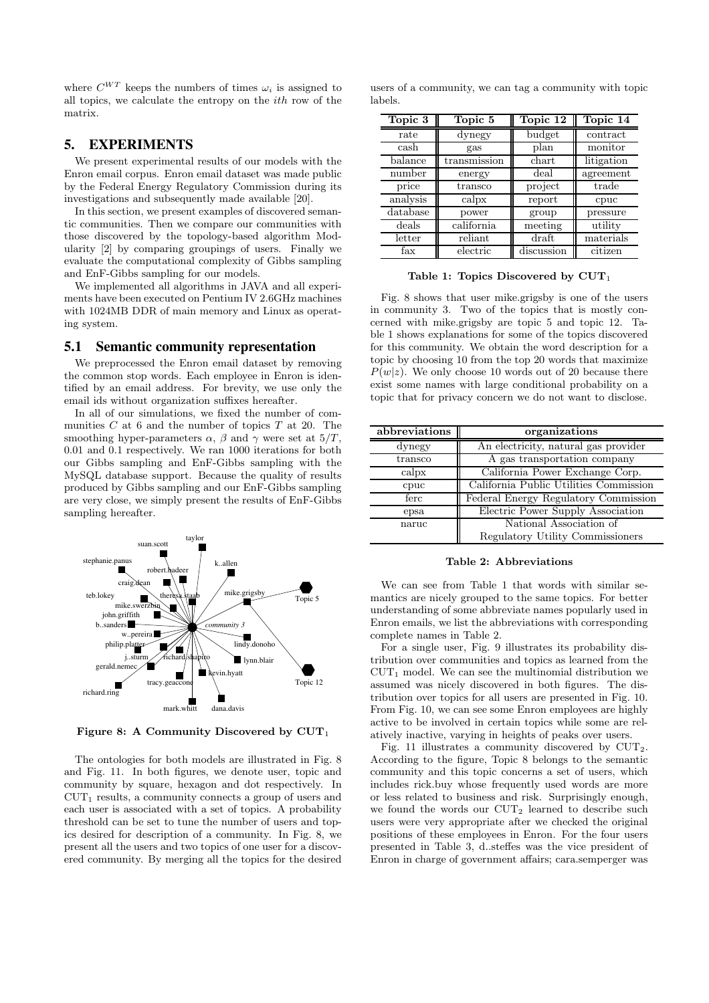where  $C^{WT}$  keeps the numbers of times  $\omega_i$  is assigned to all topics, we calculate the entropy on the  $ith$  row of the matrix.

## **5. EXPERIMENTS**

We present experimental results of our models with the Enron email corpus. Enron email dataset was made public by the Federal Energy Regulatory Commission during its investigations and subsequently made available [20].

In this section, we present examples of discovered semantic communities. Then we compare our communities with those discovered by the topology-based algorithm Modularity [2] by comparing groupings of users. Finally we evaluate the computational complexity of Gibbs sampling and EnF-Gibbs sampling for our models.

We implemented all algorithms in JAVA and all experiments have been executed on Pentium IV 2.6GHz machines with 1024MB DDR of main memory and Linux as operating system.

#### **5.1 Semantic community representation**

We preprocessed the Enron email dataset by removing the common stop words. Each employee in Enron is identified by an email address. For brevity, we use only the email ids without organization suffixes hereafter.

In all of our simulations, we fixed the number of communities  $C$  at 6 and the number of topics  $T$  at 20. The smoothing hyper-parameters  $\alpha$ ,  $\beta$  and  $\gamma$  were set at  $5/T$ . 0.01 and 0.1 respectively. We ran 1000 iterations for both our Gibbs sampling and EnF-Gibbs sampling with the MySQL database support. Because the quality of results produced by Gibbs sampling and our EnF-Gibbs sampling are very close, we simply present the results of EnF-Gibbs sampling hereafter.



Figure 8: A Community Discovered by  $CUT_1$ 

The ontologies for both models are illustrated in Fig. 8 and Fig. 11. In both figures, we denote user, topic and community by square, hexagon and dot respectively. In  $CUT_1$  results, a community connects a group of users and each user is associated with a set of topics. A probability threshold can be set to tune the number of users and topics desired for description of a community. In Fig. 8, we present all the users and two topics of one user for a discovered community. By merging all the topics for the desired

|         |  | users of a community, we can tag a community with topic |  |
|---------|--|---------------------------------------------------------|--|
| labels. |  |                                                         |  |

| Topic 3    | Topic 5      | Topic 12      | Topic 14   |
|------------|--------------|---------------|------------|
| rate       | dynegy       | budget        | contract   |
| cash       | gas          | plan          | monitor    |
| $b$ alance | transmission | chart         | litigation |
| number     | energy       | $_{\rm deal}$ | agreement  |
| price      | transco      | project       | trade      |
| analysis   | calpx        | report        | cpuc       |
| database   | power        | group         | pressure   |
| deals      | california   | meeting       | utility    |
| letter     | reliant      | draft         | materials  |
| fax        | electric     | discussion    | citizen    |

Table 1: Topics Discovered by  $CUT_1$ 

Fig. 8 shows that user mike.grigsby is one of the users in community 3. Two of the topics that is mostly concerned with mike.grigsby are topic 5 and topic 12. Table 1 shows explanations for some of the topics discovered for this community. We obtain the word description for a topic by choosing 10 from the top 20 words that maximize  $P(w|z)$ . We only choose 10 words out of 20 because there exist some names with large conditional probability on a topic that for privacy concern we do not want to disclose.

| abbreviations | organizations                          |
|---------------|----------------------------------------|
| dynegy        | An electricity, natural gas provider   |
| transco       | A gas transportation company           |
| calpx         | California Power Exchange Corp.        |
| cpuc          | California Public Utilities Commission |
| ferc          | Federal Energy Regulatory Commission   |
| epsa          | Electric Power Supply Association      |
| naruc         | National Association of                |
|               | Regulatory Utility Commissioners       |

Table 2: Abbreviations

We can see from Table 1 that words with similar semantics are nicely grouped to the same topics. For better understanding of some abbreviate names popularly used in Enron emails, we list the abbreviations with corresponding complete names in Table 2.

For a single user, Fig. 9 illustrates its probability distribution over communities and topics as learned from the  $CUT_1$  model. We can see the multinomial distribution we assumed was nicely discovered in both figures. The distribution over topics for all users are presented in Fig. 10. From Fig. 10, we can see some Enron employees are highly active to be involved in certain topics while some are relatively inactive, varying in heights of peaks over users.

Fig. 11 illustrates a community discovered by  $CUT_2$ . According to the figure, Topic 8 belongs to the semantic community and this topic concerns a set of users, which includes rick.buy whose frequently used words are more or less related to business and risk. Surprisingly enough, we found the words our CUT<sub>2</sub> learned to describe such users were very appropriate after we checked the original positions of these employees in Enron. For the four users presented in Table 3, d..steffes was the vice president of Enron in charge of government affairs; cara.semperger was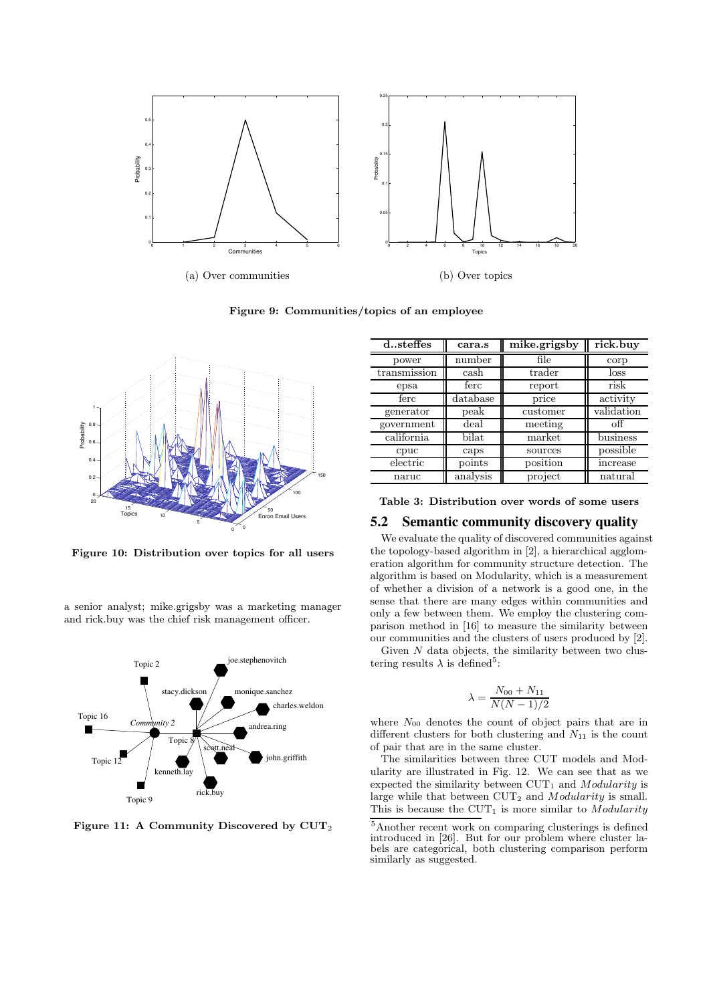

Figure 9: Communities/topics of an employee



Figure 10: Distribution over topics for all users

a senior analyst; mike.grigsby was a marketing manager and rick.buy was the chief risk management officer.



Figure 11: A Community Discovered by CUT<sup>2</sup>

| dsteffes     | cara.s   | mike.grigsby | rick.buy   |  |
|--------------|----------|--------------|------------|--|
| power        | number   | file         | corp       |  |
| transmission | cash     | trader       | loss       |  |
| epsa         | ferc     | report       | risk       |  |
| ferc         | database | price        | activity   |  |
| generator    | peak     | customer     | validation |  |
| government   | deal     | meeting      | оff        |  |
| california   | bilat    | market       | business   |  |
| cpuc         | caps     | sources      | possible   |  |
| electric     | points   | position     | increase   |  |
| naruc        | analysis | project      | natural    |  |

Table 3: Distribution over words of some users

#### **5.2 Semantic community discovery quality**

We evaluate the quality of discovered communities against the topology-based algorithm in [2], a hierarchical agglomeration algorithm for community structure detection. The algorithm is based on Modularity, which is a measurement of whether a division of a network is a good one, in the sense that there are many edges within communities and only a few between them. We employ the clustering comparison method in [16] to measure the similarity between our communities and the clusters of users produced by [2].

Given  $N$  data objects, the similarity between two clustering results  $\lambda$  is defined<sup>5</sup>:

$$
\lambda = \frac{N_{00} + N_{11}}{N(N-1)/2}
$$

where  $N_{00}$  denotes the count of object pairs that are in different clusters for both clustering and  $N_{11}$  is the count of pair that are in the same cluster.

The similarities between three CUT models and Modularity are illustrated in Fig. 12. We can see that as we expected the similarity between  $CUT_1$  and  $Modularity$  is large while that between  $\text{CUT}_2$  and  $Modularity$  is small. This is because the  $CUT_1$  is more similar to Modularity

<sup>5</sup>Another recent work on comparing clusterings is defined introduced in [26]. But for our problem where cluster labels are categorical, both clustering comparison perform similarly as suggested.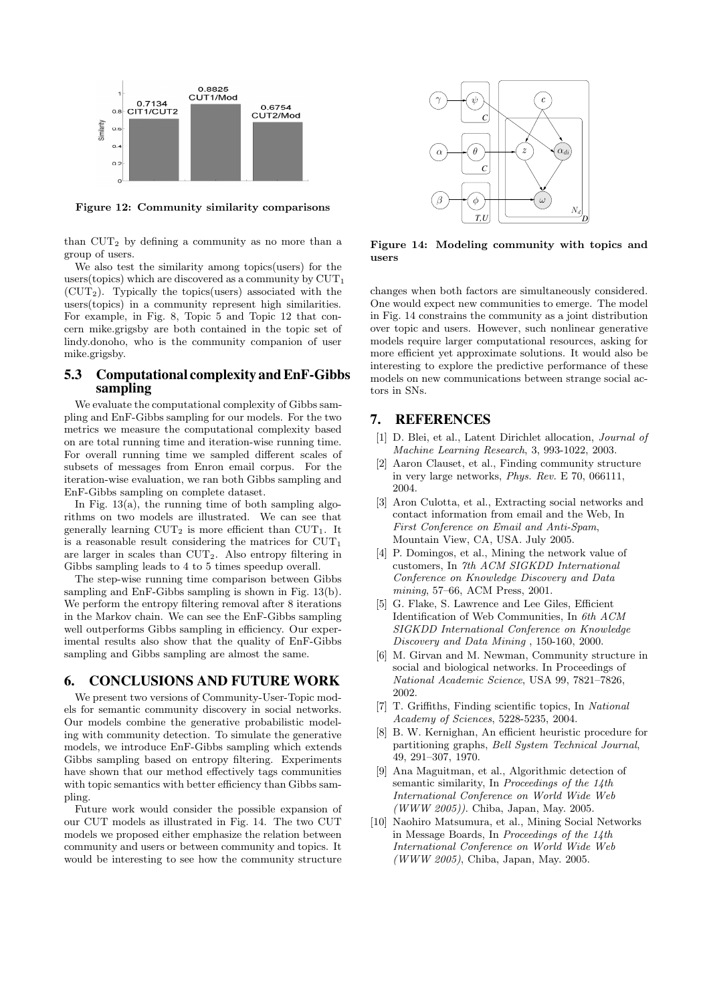

Figure 12: Community similarity comparisons

than  $CUT_2$  by defining a community as no more than a group of users.

We also test the similarity among topics(users) for the users(topics) which are discovered as a community by  $CUT_1$  $(CUT_2)$ . Typically the topics(users) associated with the users(topics) in a community represent high similarities. For example, in Fig. 8, Topic 5 and Topic 12 that concern mike.grigsby are both contained in the topic set of lindy.donoho, who is the community companion of user mike.grigsby.

## **5.3 Computational complexity andEnF-Gibbs sampling**

We evaluate the computational complexity of Gibbs sampling and EnF-Gibbs sampling for our models. For the two metrics we measure the computational complexity based on are total running time and iteration-wise running time. For overall running time we sampled different scales of subsets of messages from Enron email corpus. For the iteration-wise evaluation, we ran both Gibbs sampling and EnF-Gibbs sampling on complete dataset.

In Fig.  $13(a)$ , the running time of both sampling algorithms on two models are illustrated. We can see that generally learning  $CUT_2$  is more efficient than  $CUT_1$ . It is a reasonable result considering the matrices for  $CUT_1$ are larger in scales than CUT2. Also entropy filtering in Gibbs sampling leads to 4 to 5 times speedup overall.

The step-wise running time comparison between Gibbs sampling and EnF-Gibbs sampling is shown in Fig. 13(b). We perform the entropy filtering removal after 8 iterations in the Markov chain. We can see the EnF-Gibbs sampling well outperforms Gibbs sampling in efficiency. Our experimental results also show that the quality of EnF-Gibbs sampling and Gibbs sampling are almost the same.

#### **6. CONCLUSIONS AND FUTURE WORK**

We present two versions of Community-User-Topic models for semantic community discovery in social networks. Our models combine the generative probabilistic modeling with community detection. To simulate the generative models, we introduce EnF-Gibbs sampling which extends Gibbs sampling based on entropy filtering. Experiments have shown that our method effectively tags communities with topic semantics with better efficiency than Gibbs sampling.

Future work would consider the possible expansion of our CUT models as illustrated in Fig. 14. The two CUT models we proposed either emphasize the relation between community and users or between community and topics. It would be interesting to see how the community structure



Figure 14: Modeling community with topics and users

changes when both factors are simultaneously considered. One would expect new communities to emerge. The model in Fig. 14 constrains the community as a joint distribution over topic and users. However, such nonlinear generative models require larger computational resources, asking for more efficient yet approximate solutions. It would also be interesting to explore the predictive performance of these models on new communications between strange social actors in SNs.

#### **7. REFERENCES**

- [1] D. Blei, et al., Latent Dirichlet allocation, Journal of Machine Learning Research, 3, 993-1022, 2003.
- [2] Aaron Clauset, et al., Finding community structure in very large networks, Phys. Rev. E 70, 066111, 2004.
- [3] Aron Culotta, et al., Extracting social networks and contact information from email and the Web, In First Conference on Email and Anti-Spam, Mountain View, CA, USA. July 2005.
- [4] P. Domingos, et al., Mining the network value of customers, In 7th ACM SIGKDD International Conference on Knowledge Discovery and Data mining, 57–66, ACM Press, 2001.
- [5] G. Flake, S. Lawrence and Lee Giles, Efficient Identification of Web Communities, In 6th ACM SIGKDD International Conference on Knowledge Discovery and Data Mining , 150-160, 2000.
- [6] M. Girvan and M. Newman, Community structure in social and biological networks. In Proceedings of National Academic Science, USA 99, 7821–7826, 2002.
- [7] T. Griffiths, Finding scientific topics, In National Academy of Sciences, 5228-5235, 2004.
- [8] B. W. Kernighan, An efficient heuristic procedure for partitioning graphs, Bell System Technical Journal, 49, 291–307, 1970.
- [9] Ana Maguitman, et al., Algorithmic detection of semantic similarity, In Proceedings of the 14th International Conference on World Wide Web (WWW 2005)). Chiba, Japan, May. 2005.
- [10] Naohiro Matsumura, et al., Mining Social Networks in Message Boards, In Proceedings of the 14th International Conference on World Wide Web (WWW 2005), Chiba, Japan, May. 2005.